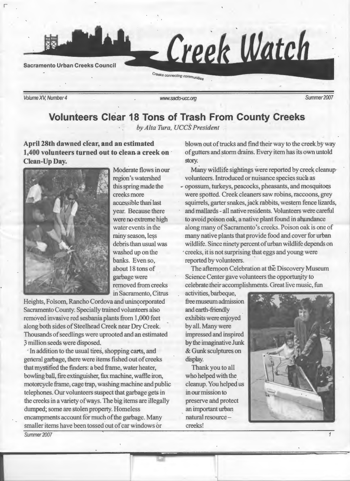

Volume XV, Number 4 Summer 2007

r

## **Volunteers Clear 1\_8 Tons of Trash From County Creeks**

' *by Alta Tura, UCCS President* 

**April 28th dawned clear, and an estimated 1,400 volunteers turned out to clean a creek on Clean-Up Day.** 



Moderate flows in our region's watershed this spring made the creeks more accessible than' last year. Because there were no extreme high water events in the rainy season, less debris than usual was washed up on the banks. Even so, about 18 tons of garbage were removed from creeks in Sacramento, Citrus

Heights, Folsom, Rancho Cordova and unincorporated Sacramento County. Specially trained volunteers also removed invasive red sesbania plants from 1,000 feet along both sides of Steelhead Creek near Dry Creek. Thousands of seedlings were uprooted and an estimated 3 million seeds were disposed,

·In addition to the usual tires, shopping carts, and general garbage, there were items fished out of creeks that mystified the finders: a bed frame, water heater, bowling ball, fire extinguisher, fax machine, waffle iron, motorcycle frame, cage trap, washing machine and public telephones. Our volunteers suspect that garbage gets in the creeks in a variety of ways. The big items are illegally dumped; some are stolen property. Homeless encampments account for much of the garbage. Many smaller items have been tossed out of car windows or Summer 2007

blown out of trucks and find their way to the creek by way of gutters and storm drains. Every item has its own untold story.

Many wildlife sightings were reported by creek cleanupvolunteers. Introduced or nuisance species such as

**<sup>p</sup>**opossum, turkeys, peacocks, pheasants, and mosquitoes were spotted. Creek cleaners saw robins, raccoons, grey squirrels, garter snakes, jack rabbits, western fence lizards, and mallards- all native residents. Volunteers were careful to avoid poison oak, a native plant found in abundance along many of Sacramento's creeks. Poison oak is one of many native plants that provide food and cover for urban wildlife. Since ninety percent of urban wildlife depends on ' creeks, it is not surprising that eggs and young were reported by volunteers.

The afternoon Celebration at the Discovery Museum Science Center gave volunteers the opportunity to celebrate their accomplishments. Great live music, fun

activities, barbeque, free museum admission and earth-friendly exhibits were enjoyed by all. Many were impressed and inspired by the imaginative Junk & Gunk sculptures on display.

Thank you to all who helped with the cleanup. You helped us in our mission to preserve and protect an important urban natural resourcecreeks!

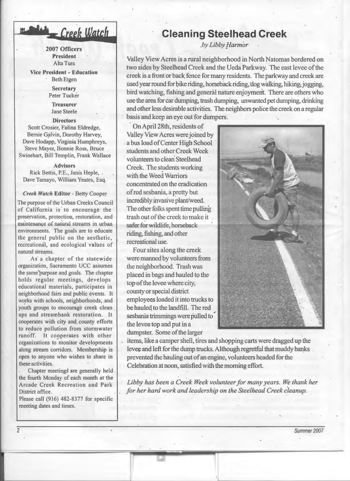# Creek Watch

2007 Officers President Alta Tura

Vice President - Education Beth Etgen

> **Secretary** Peter Tucker

**Treasurer** Jane Steele

#### **Directors**

Scott Crosier, Falina Eldredge, Bernie Galvin, Dorothy Harvey, Dave Hodapp, Virginia Humphreys, Steve Mayer, Bonnie Ross, Bruce Swinehart, Bill Templin, Frank Wallace

#### Advisors

Rick Bettis, P.E., Janis Heple, . Dave Tamayo, William Yeates, Esq.

#### *Creek Watch* Editor - Betty Cooper

The purpose of the Urban Creeks Council of California is to encourage the preservation, protection, restoration, and maintenance of natural streams in urban environments. The goals are to educate the general public on the aesthetic, recreational, and ecological values of natural streams.

As· a chapter of the statewide organization, Sacramento UCC assumes the same purpose and goals. The chapter holds regular meetings, develops educational materials, participates in neighborhood fairs and public events. It works with schools, neighborhoods, and youth groups to encourage creek clean ups and streambank restoration. It cooperates with city and county efforts to reduce pollution from stormwater runoff. It cooperates with other organizations to monitor developments along stream corridors. Membership is open to anyone who wishes to share in these activities.

Chapter meetings are generally held. the fourth Monday of each month at the Arcade Creek Recreation and Park District office.

Please call  $(916)$  482-8377 for specific meeting dates and times.

*2* 

## **Cleaning Steelhead Creek**

*by Libby f!armor* 

Valley View Acres is a rural neighborhood in North Natomas bordered on two sides by Steelhead Creek and the Ueda Parkway. The east levee of the creek is a front or back fence for many residents. The parkway and creek are used year round for bike riding, horseback riding, dog walking, hiking, jogging, bird watching, fishing and general nature enjoyment. There are others who use the area for car dumping, trash dumping, unwanted pet dumping, drinking and other less desirable activities. The neighbors police the creek on a regular basis and keep an eye out for dumpers.

On April 28th, residents of Valley View Acres were joined by a bus load of Center High School students and other Creek Week volunteers to clean Steelhead Creek. The students working with the Weed Warriors concentrated on the eradication of red sesbania, a pretty but incredibly invasive plant/weed. The other folks spent time pulling trash out of the creek to make it safer for wildlife, horseback riding, fishing, and other recreational use.

Four sites along the creek were manned by volunteers from the neighborhood. Trash was placed in bags and hauled to the top of the levee where city, county or special district employees loaded it into trucks to be hauled to the landfill. The red sesbania trimmings were pulled to the levee top and put in a dumpster. Some of the larger



items, like a camper shell, tires and shopping carts were dragged up the levee and left for the dump trucks. Although regretful that muddy banks prevented the hauling out of an engine, volunteers headed for the Celebration at noon, satisfied with the morning effort.

*Libby has been a Creek Week volunteer for many years. We thank her for her hard work and leadership on the Steelhead Creek cleanup.* 

Summer<sub>2007</sub>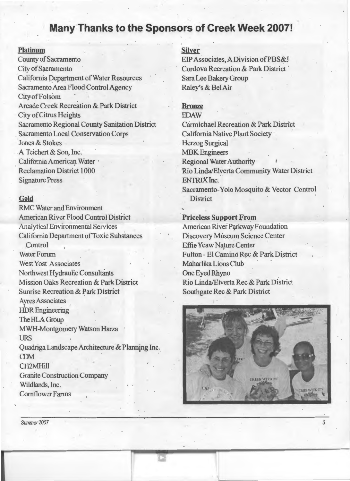## **Many-Thanks to the Sponsors of Creek Week 2007!**

#### **Platinum**

County of Sacramento City of Sacramento California Department of Water Resources Sacramento Area Flood Control Agency City of Folsom Arcade Creek Recreation & Park District City of Citrus Heights Sacramento Regional County Sanitation District . Sacramento Local Conservation Corps Jones & Stokes .A Teichert& Son, Inc. California American Water Reclamation District 1 000 Signature Press

### **Gold**

RMC Water and Environment American River Flood Control District Analytical Environmental Services California Department of Toxic Substances .Control Water Forum West Yost Associates Northwest Hydraulic Consultants Mission Oaks Recreation & Park District Sunrise Recreation & Park District Ayres Associates **HDR** Engineering The HLA Group MWH-Montgomery Watson Harza URS Quadriga Landscape Architecture & Planning Inc.  $CDM$ CH2MHill Granite Construction Company Wildlands, Inc. Cornflower Farms

#### **Silver**

EIP Associates, A Division ofPBS&J Cordova Recreation & Park District ' Sara Lee Bakery Group Raley's & BelAir

### **Bronze**

EDAW Carmichael Recreation & Park District California Native Plant Society . Herzog Surgical MBK Engineers Regional Water Authority Rio Linda/Elverta Community Water District ENTRIXInc. Sacramento-Yolo Mosquito & Vector Control **District** 

#### **Priceless Support From**

American River Parkway Foundation Discovery Museum Science Center Effie Yeaw Nature Center Fulton - El Camino Rec & Park District Maharlika Lions Club One Eyed Rhyno Rio Linda/Elverta Rec & Park District Southgate Rec & Park District



*3* 

Summer 2007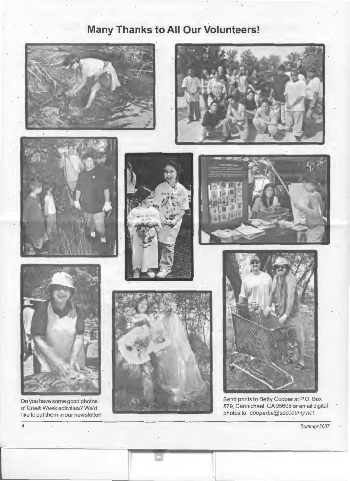# **Many Thanks to All Our Volunteers!**











'l



Send prints to Betty Cooper at P.O. Box 579, Carmichael, CA 95608 or email digital photos to cooperbe@saccounty. net

Summer 2007



Do you have some good photos of Creek Week activities? We'd like to put them in our newsletter!

*4*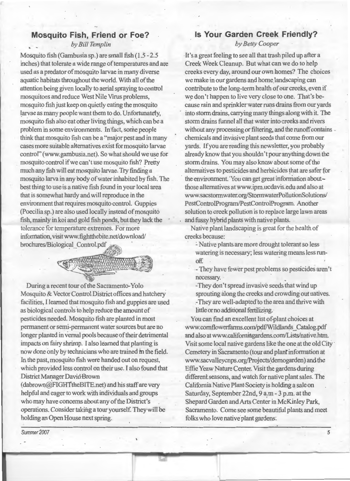### **Mosquito Fish, Friend or Foe?**

*by Bill Templin* 

Mosquito fish (Gambusia sp.) are small fish (1.5- 2.5 inches) that tolerate a wide range of temperatures and are used as a prcedator of mosquito larvae in many diverse aquatic habitats throughout the world. With all of the attention being given locally to aerial spraying to control mosquitoes and reduce West Nile Virus problems, mosquito fish just keep on quietly eating the mosquito larvae as many people want them to do. Unfortunately, mosquito fish also eat other living things, which can be a problem in some environments. In'fact, some people think that mosquito fish can be a "major pest and in many cases more suitable alternatives exist for mosquito larvae control" (www.gambusia.net). So what should we use for mosquito control if we can't use mosquito fish? Pretty much any fish will eat mosquito larvae. Try finding a mosquito larva in any body of water inhabited by fish. The best thing to use is a native fish found in your local area that is somewhat hardy and will reproduce in the environment that requires mosquito control. Guppies (Poecilia sp.) are also used locally instead of mosquito fish, mainly inkoi and gold fish ponds, but they lack the ' tolerance for temperature extremes. For more information, visitwww.fightthebite.net/download/  $b$ rochures/Biological\_Control. pdf

,/(if'~~  $\sigma_{\rm com}$ 

During a recent tour of the Sacramento-Yolo Mosquito & Vector Control District offices and hatchery facilities, I learned that mosquito fish and guppies are used as biological controls to help reduce the amount of pesticides needed. Mosquito fish are planted in most permanent or semi-permanent water sources but are no longer planted in vernal pools because of their detrimental impacts on fairy shrimp. I also learned that planting is now done only by technicians who are trained m the field. In the past, mosquito fish were handed out on request, which provided less control on their use. I also found that District Manager David Brown

(dabrown@FIGHTtheBITE.net) and his staff are very helpful and eager to work with individuals and groups who may have concerns about any of the District's operations. Consider taking a tour yourself. They will be holding an Open House next spring.

### Is **Your Garden Creek Friendly?**

*by Betty Cooper* 

It's a great feeling to see all that trash piled up after a Creek Week Cleanup. But what can we do to help creeks every day, around our own homes? The choices we make in our gardens and home landscaping can contribute to the long-term health of our creeks, even if we don't happen to live very close to one. That's because rain and sprinkler water runs drains from our yards into storm drains, carrying many things along with it. The storm drains funnel all that water into creeks and rivers without any processing or filtering, and the runoff contains chemicals and invasive plant seeds that come from our yards. If you are reading this newsletter, you probably already know that you shouldn't pour anything down the storm drains. You may also know about some of the alternatives to pesticides and herbicides that are safer for the environment. 'You can get great information aboutthose alternatives at www.ipm.ucdavis.edu and also at www.sacstormwater.org!StormwaterPollutionSolutions/ PestControlProgram/PestControlProgram. Another solution to creek pollution is to replace large lawn areas and fussy hybrid plants with native plants.

Native plant landscaping is great for the health of creeks because:

: Native plants are more drought tolerant so less watering is necessary; less watering means less runoff ·

-They have fewer pest problems so pesticides aren't necessary.

-They don't spread invasive seeds that wind up sprouting along the creeks and crowding out natives. -They are well-adapted'to the area and thrive with little or no additional fertilizing.

You can find an excellent list of-plant choices at www.comflowerfarms.com/pd£'Wildlands \_Catalog. pdf and also at www.californiagardens.com/Lists/native.htrn. Visit some local native gardens like the one at the old City · Cemetery in Sacramento (tour and plant information at www.sacvalleycnps.org/Projects(demogarden) and the Effie Yeaw Nature Center. Visit the gardens during different seasons, and watch for native plant sales. The California Native Plant Society is holding a sale on Saturday, September 22nd, 9 a.m- 3 p.m. at the Shepard Garden and Arts Center in McKinley Park, Sacramento. Come see some beautiful plants and meet folks who love native plant gardens.

Summer<sub>2007</sub>

*5*